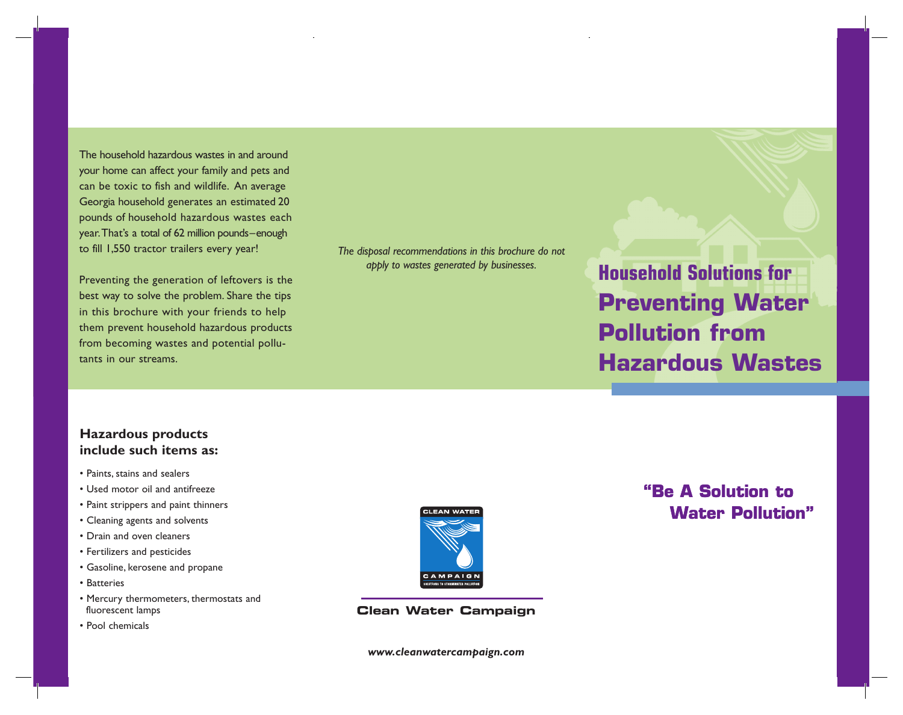**Example: An average The household hazardous wastes in and around and around an average to fish and wildlife. Extinct generates an extinct generates and pets and pets and pets and pets and pets and pets and pets and pets** pounds of household hazardous wastes each be toxic to fish and wildlife. An average year. The congless a total of 62 million pounds–enough pounds–enough hazardous wastes each<br>year.That's a total of 62 million pounds–enough hazardous wastes each to fill 1,550 tractor trailers even website the tractor of the second trailers every year. That's a total of 62 million pounds–enough Georgia household generates an estimated 20 to fill 1,550 tractor trailers every year! *awareness of pollution prevention.This brochure was created through a partnership between the CleanWater Campaign and the Pollution Prevention Assistance Division (P2 the Georgia Department of Natural Resources. The disposal recommendations in this brochure do not*

**Preventing the generation of leftovers is the problem.** Share the problem. Share the problem. Share the tips of the tips of the tips of the tips of the tips of tips of tips of the tips of tips of tips of tips of the tips **Example 19 Solve the problem.** Share the tips<br>in this brochure with your friends to help them prevent household hazardous products them prevent household hazardous products from becoming wastes and potential pollu-from becoming wastes and potential pollu-from becoming wastes and potential pollutants in our streams. tants in our streams. best way to solve the problem. Share the tips in this brochure with your friends to help tants in our streams.

The disposal recommendations in this brochure do not *apply to wastes generated by businesses.*

*This brochure is one of a series dedicated to raising*

**Household Solutions for Preventing Water Preventing Water Pollution from Pollution from Pollution from Hazardous Wastes Hazardous Wastes Hazardous Wastes Household Solutions for Household Solutions for Preventing Water**

## **Hazardous products include such items as: Hazardous products Hazardous products include such items as:**

- **include such items as:** Paints, stains and sealers
- Used motor oil and antifreeze • Paints, stains and sealers
- Paint strippers and paint thinners<br>• Paint strippers and paint thinners
- Cleaning agents and solvents
- Paint and oven cleaners
- Fertilizers and pesticides • Drain and oven cleaners
- Gasoline, kerosene and propane • Fertilizers and pesticides
	- Batteries

fluorescent lamps • Pool chemicals

The household hazardous wastes in and around your home can affect your family and pets and

Preventing the generation of leftovers is the

- Fertilizers and performance and performance and propaneters, thermostats and propaneters, thermostats and propaneters, thermostats and propaneters, thermostats and propaneters, thermostats and propaneters, thermostats an fluorescent lamps
- Pool chemicals



**Clean Water Campaign**

**Clean Water Campaign** *www.cleanwatercampaign.com* **Clean Water Campaign** www.creatiwater

# **Water Pollution" "Be A Solution to**

**Water Pollution"**